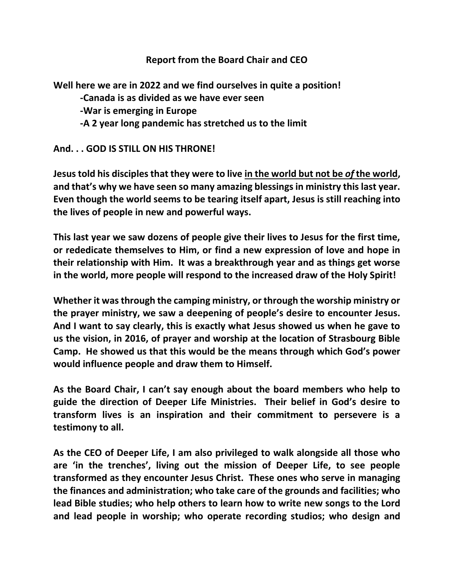## **Report from the Board Chair and CEO**

**Well here we are in 2022 and we find ourselves in quite a position!**

- **-Canada is as divided as we have ever seen**
- **-War is emerging in Europe**
- **-A 2 year long pandemic has stretched us to the limit**

## **And. . . GOD IS STILL ON HIS THRONE!**

**Jesus told his disciples that they were to live in the world but not be** *of* **the world, and that's why we have seen so many amazing blessings in ministry this last year. Even though the world seems to be tearing itself apart, Jesus is still reaching into the lives of people in new and powerful ways.**

**This last year we saw dozens of people give their lives to Jesus for the first time, or rededicate themselves to Him, or find a new expression of love and hope in their relationship with Him. It was a breakthrough year and as things get worse in the world, more people will respond to the increased draw of the Holy Spirit!**

**Whether it was through the camping ministry, or through the worship ministry or the prayer ministry, we saw a deepening of people's desire to encounter Jesus. And I want to say clearly, this is exactly what Jesus showed us when he gave to us the vision, in 2016, of prayer and worship at the location of Strasbourg Bible Camp. He showed us that this would be the means through which God's power would influence people and draw them to Himself.**

**As the Board Chair, I can't say enough about the board members who help to guide the direction of Deeper Life Ministries. Their belief in God's desire to transform lives is an inspiration and their commitment to persevere is a testimony to all.**

**As the CEO of Deeper Life, I am also privileged to walk alongside all those who are 'in the trenches', living out the mission of Deeper Life, to see people transformed as they encounter Jesus Christ. These ones who serve in managing the finances and administration; who take care of the grounds and facilities; who lead Bible studies; who help others to learn how to write new songs to the Lord and lead people in worship; who operate recording studios; who design and**